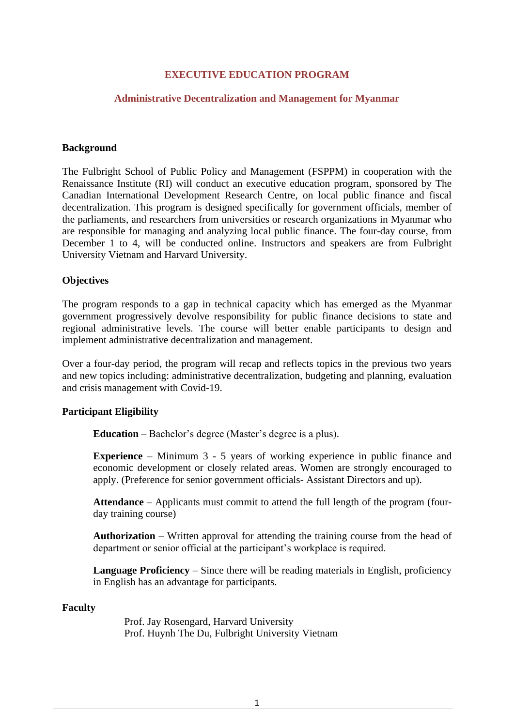## **EXECUTIVE EDUCATION PROGRAM**

#### **Administrative Decentralization and Management for Myanmar**

#### **Background**

The Fulbright School of Public Policy and Management (FSPPM) in cooperation with the Renaissance Institute (RI) will conduct an executive education program, sponsored by The Canadian International Development Research Centre, on local public finance and fiscal decentralization. This program is designed specifically for government officials, member of the parliaments, and researchers from universities or research organizations in Myanmar who are responsible for managing and analyzing local public finance. The four-day course, from December 1 to 4, will be conducted online. Instructors and speakers are from Fulbright University Vietnam and Harvard University.

#### **Objectives**

The program responds to a gap in technical capacity which has emerged as the Myanmar government progressively devolve responsibility for public finance decisions to state and regional administrative levels. The course will better enable participants to design and implement administrative decentralization and management.

Over a four-day period, the program will recap and reflects topics in the previous two years and new topics including: administrative decentralization, budgeting and planning, evaluation and crisis management with Covid-19.

### **Participant Eligibility**

**Education** – Bachelor's degree (Master's degree is a plus).

**Experience** – Minimum 3 - 5 years of working experience in public finance and economic development or closely related areas. Women are strongly encouraged to apply. (Preference for senior government officials- Assistant Directors and up).

**Attendance** – Applicants must commit to attend the full length of the program (fourday training course)

**Authorization** – Written approval for attending the training course from the head of department or senior official at the participant's workplace is required.

**Language Proficiency** – Since there will be reading materials in English, proficiency in English has an advantage for participants.

#### **Faculty**

Prof. Jay Rosengard, Harvard University Prof. Huynh The Du, Fulbright University Vietnam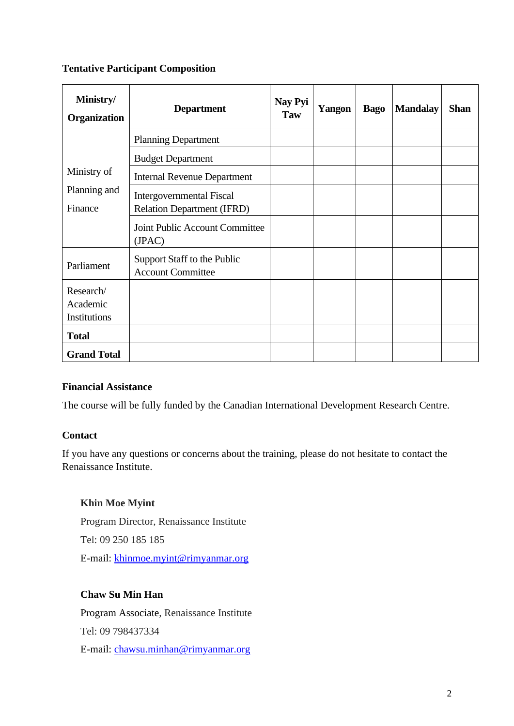# **Tentative Participant Composition**

| Ministry/<br><b>Organization</b>       | <b>Department</b>                                                    | Nay Pyi<br>Taw | Yangon | <b>Bago</b> | <b>Mandalay</b> | <b>Shan</b> |
|----------------------------------------|----------------------------------------------------------------------|----------------|--------|-------------|-----------------|-------------|
| Ministry of<br>Planning and<br>Finance | <b>Planning Department</b>                                           |                |        |             |                 |             |
|                                        | <b>Budget Department</b>                                             |                |        |             |                 |             |
|                                        | <b>Internal Revenue Department</b>                                   |                |        |             |                 |             |
|                                        | <b>Intergovernmental Fiscal</b><br><b>Relation Department (IFRD)</b> |                |        |             |                 |             |
|                                        | Joint Public Account Committee<br>(JPAC)                             |                |        |             |                 |             |
| Parliament                             | Support Staff to the Public<br><b>Account Committee</b>              |                |        |             |                 |             |
| Research/<br>Academic<br>Institutions  |                                                                      |                |        |             |                 |             |
| <b>Total</b>                           |                                                                      |                |        |             |                 |             |
| <b>Grand Total</b>                     |                                                                      |                |        |             |                 |             |

# **Financial Assistance**

The course will be fully funded by the Canadian International Development Research Centre.

# **Contact**

If you have any questions or concerns about the training, please do not hesitate to contact the Renaissance Institute.

# **Khin Moe Myint**

Program Director, Renaissance Institute Tel: 09 250 185 185 E-mail: [khinmoe.myint@rimyanmar.org](mailto:khinmoe.myint@rimyanmar.org)

# **Chaw Su Min Han**

Program Associate, Renaissance Institute Tel: 09 798437334 E-mail: [chawsu.minhan@rimyanmar.org](mailto:chawsu.minhan@rimyanmar.org)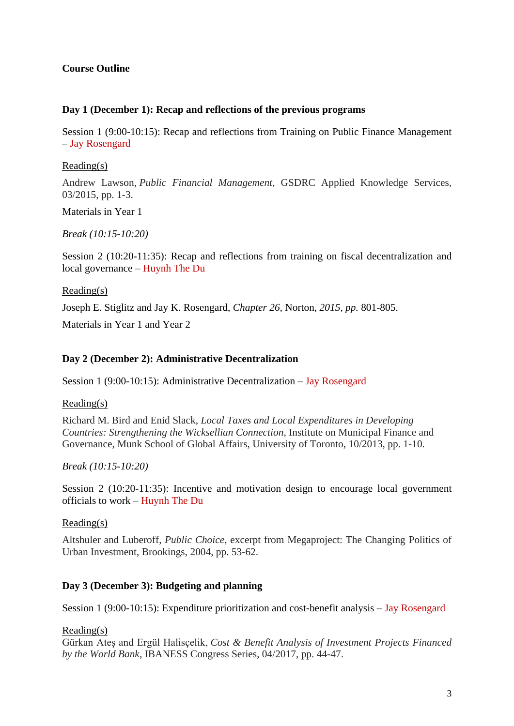# **Course Outline**

## **Day 1 (December 1): Recap and reflections of the previous programs**

Session 1 (9:00-10:15): Recap and reflections from Training on Public Finance Management – Jay Rosengard

## Reading(s)

Andrew Lawson, *Public Financial Management*, GSDRC Applied Knowledge Services, 03/2015, pp. 1-3.

Materials in Year 1

*Break (10:15-10:20)*

Session 2 (10:20-11:35): Recap and reflections from training on fiscal decentralization and local governance – Huynh The Du

### Reading(s)

Joseph E. Stiglitz and Jay K. Rosengard, *Chapter 26,* Norton, *2015, pp.* 801-805.

Materials in Year 1 and Year 2

## **Day 2 (December 2): Administrative Decentralization**

Session 1 (9:00-10:15): Administrative Decentralization – Jay Rosengard

Reading(s)

Richard M. Bird and Enid Slack, *Local Taxes and Local Expenditures in Developing Countries: Strengthening the Wicksellian Connection*, Institute on Municipal Finance and Governance, Munk School of Global Affairs, University of Toronto, 10/2013, pp. 1-10.

*Break (10:15-10:20)*

Session 2 (10:20-11:35): Incentive and motivation design to encourage local government officials to work – Huynh The Du

### Reading(s)

Altshuler and Luberoff, *Public Choice*, excerpt from Megaproject: The Changing Politics of Urban Investment, Brookings, 2004, pp. 53-62.

# **Day 3 (December 3): Budgeting and planning**

Session 1 (9:00-10:15): Expenditure prioritization and cost-benefit analysis – Jay Rosengard

### Reading(s)

Gürkan Ateş and Ergül Halisçelik, *Cost & Benefit Analysis of Investment Projects Financed by the World Bank*, IBANESS Congress Series, 04/2017, pp. 44-47.